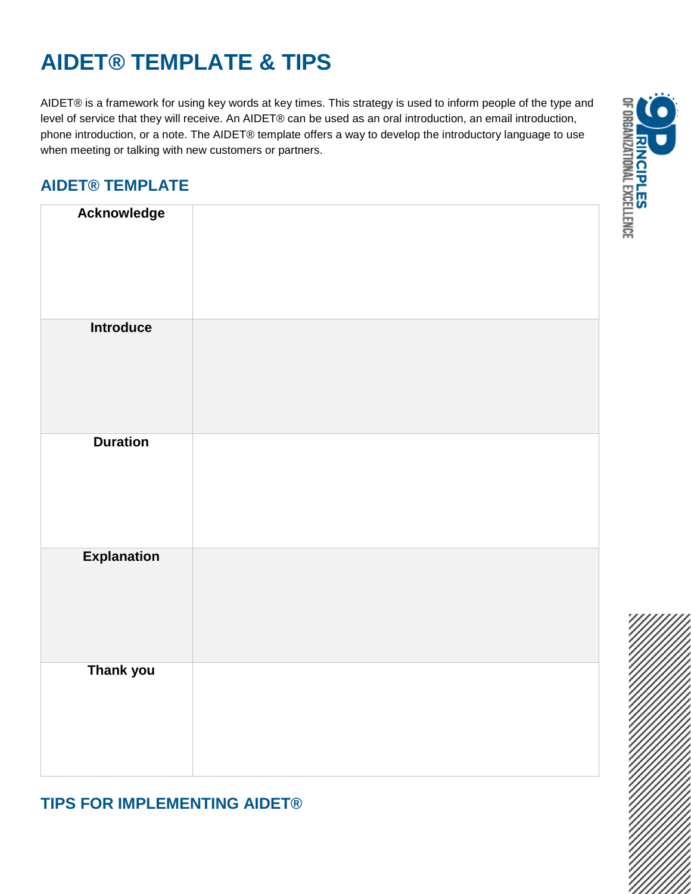# **AIDET® TEMPLATE & TIPS**

AIDET® is a framework for using key words at key times. This strategy is used to inform people of the type and level of service that they will receive. An AIDET® can be used as an oral introduction, an email introduction, phone introduction, or a note. The AIDET® template offers a way to develop the introductory language to use when meeting or talking with new customers or partners.

# **AIDET® TEMPLATE**

| Acknowledge        |  |
|--------------------|--|
| <b>Introduce</b>   |  |
| <b>Duration</b>    |  |
| <b>Explanation</b> |  |
| Thank you          |  |

# **TIPS FOR IMPLEMENTING AIDET®**